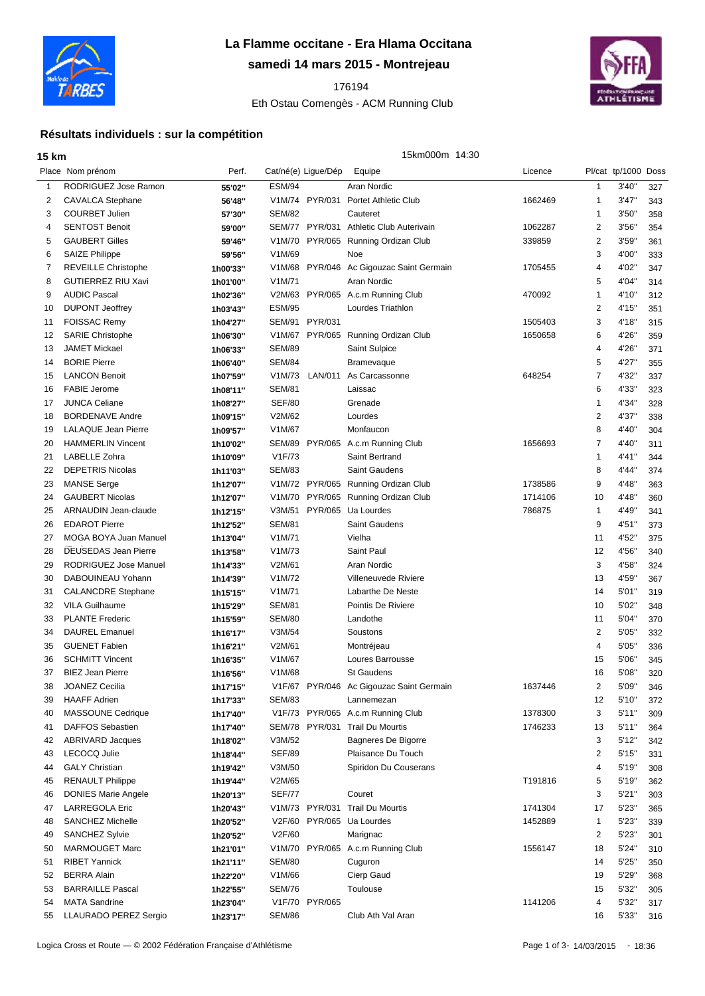

## **La Flamme occitane - Era Hlama Occitana**

**samedi 14 mars 2015 - Montrejeau**

## Eth Ostau Comengès - ACM Running Club



## **Résultats individuels : sur la compétition**

| <b>15 km</b> |                             |          |                     |                     | 15km000m 14:30                           |         |                |                     |     |
|--------------|-----------------------------|----------|---------------------|---------------------|------------------------------------------|---------|----------------|---------------------|-----|
|              | Place Nom prénom            | Perf.    |                     | Cat/né(e) Ligue/Dép | Equipe                                   | Licence |                | Pl/cat tp/1000 Doss |     |
| $\mathbf 1$  | RODRIGUEZ Jose Ramon        | 55'02"   | <b>ESM/94</b>       |                     | Aran Nordic                              |         | 1              | 3'40"               | 327 |
| 2            | CAVALCA Stephane            | 56'48"   | V1M/74              | PYR/031             | <b>Portet Athletic Club</b>              | 1662469 | 1              | 3'47''              | 343 |
| 3            | <b>COURBET Julien</b>       | 57'30"   | <b>SEM/82</b>       |                     | Cauteret                                 |         | 1              | 3'50"               | 358 |
| 4            | <b>SENTOST Benoit</b>       | 59'00"   | SEM/77              | PYR/031             | Athletic Club Auterivain                 | 1062287 | 2              | 3'56'               | 354 |
| 5            | <b>GAUBERT Gilles</b>       | 59'46"   | V1M/70              | PYR/065             | Running Ordizan Club                     | 339859  | $\overline{2}$ | 3'59'               | 361 |
| 6            | <b>SAIZE Philippe</b>       | 59'56"   | V1M/69              |                     | Noe                                      |         | 3              | 4'00"               | 333 |
| 7            | <b>REVEILLE Christophe</b>  | 1h00'33" | V1M/68              | PYR/046             | Ac Gigouzac Saint Germain                | 1705455 | 4              | 4'02'               | 347 |
| 8            | <b>GUTIERREZ RIU Xavi</b>   | 1h01'00" | V <sub>1</sub> M/71 |                     | Aran Nordic                              |         | 5              | 4'04"               | 314 |
| 9            | <b>AUDIC Pascal</b>         | 1h02'36" | V2M/63              |                     | PYR/065 A.c.m Running Club               | 470092  | 1              | 4'10"               | 312 |
| 10           | <b>DUPONT Jeoffrey</b>      | 1h03'43" | <b>ESM/95</b>       |                     | Lourdes Triathlon                        |         | $\overline{2}$ | 4'15"               | 351 |
| 11           | <b>FOISSAC Remy</b>         | 1h04'27" | SEM/91              | PYR/031             |                                          | 1505403 | 3              | 4'18"               | 315 |
| 12           | <b>SARIE Christophe</b>     | 1h06'30" | V1M/67              | PYR/065             | Running Ordizan Club                     | 1650658 | 6              | 4'26"               | 359 |
| 13           | <b>JAMET Mickael</b>        | 1h06'33" | <b>SEM/89</b>       |                     | Saint Sulpice                            |         | 4              | 4'26"               | 371 |
| 14           | <b>BORIE Pierre</b>         | 1h06'40" | <b>SEM/84</b>       |                     | Bramevaque                               |         | 5              | 4'27'               | 355 |
| 15           | <b>LANCON Benoit</b>        | 1h07'59" | V1M/73              | LAN/011             | As Carcassonne                           | 648254  | 7              | 4'32"               | 337 |
| 16           | <b>FABIE Jerome</b>         | 1h08'11" | <b>SEM/81</b>       |                     | Laissac                                  |         | 6              | 4'33"               | 323 |
| 17           | <b>JUNCA Celiane</b>        | 1h08'27" | <b>SEF/80</b>       |                     | Grenade                                  |         | 1              | 4'34"               | 328 |
| 18           | <b>BORDENAVE Andre</b>      | 1h09'15" | V2M/62              |                     | Lourdes                                  |         | $\overline{2}$ | 4'37"               | 338 |
| 19           | <b>LALAQUE Jean Pierre</b>  | 1h09'57" | V1M/67              |                     | Monfaucon                                |         | 8              | 4'40"               | 304 |
| 20           | <b>HAMMERLIN Vincent</b>    | 1h10'02" | <b>SEM/89</b>       |                     | PYR/065 A.c.m Running Club               | 1656693 | 7              | 4'40"               | 311 |
| 21           | LABELLE Zohra               | 1h10'09" | V1F/73              |                     | Saint Bertrand                           |         | 1              | 4'41"               | 344 |
| 22           | <b>DEPETRIS Nicolas</b>     | 1h11'03" | <b>SEM/83</b>       |                     | Saint Gaudens                            |         | 8              | 4'44"               | 374 |
| 23           | <b>MANSE Serge</b>          | 1h12'07" | V1M/72              |                     | PYR/065 Running Ordizan Club             | 1738586 | 9              | 4'48"               | 363 |
| 24           | <b>GAUBERT Nicolas</b>      | 1h12'07" | V1M/70              |                     | PYR/065 Running Ordizan Club             | 1714106 | 10             | 4'48"               | 360 |
| 25           | ARNAUDIN Jean-claude        | 1h12'15" | V3M/51              | PYR/065             | Ua Lourdes                               | 786875  | $\mathbf{1}$   | 4'49"               | 341 |
| 26           | <b>EDAROT Pierre</b>        | 1h12'52" | <b>SEM/81</b>       |                     | <b>Saint Gaudens</b>                     |         | 9              | 4'51"               | 373 |
| 27           | MOGA BOYA Juan Manuel       | 1h13'04" | V1M/71              |                     | Vielha                                   |         | 11             | 4'52"               | 375 |
| 28           | <b>DEUSEDAS Jean Pierre</b> | 1h13'58" | V1M/73              |                     | Saint Paul                               |         | 12             | 4'56"               | 340 |
| 29           | RODRIGUEZ Jose Manuel       | 1h14'33" | V2M/61              |                     | Aran Nordic                              |         | 3              | 4'58"               | 324 |
| 30           | DABOUINEAU Yohann           | 1h14'39" | V1M/72              |                     | Villeneuvede Riviere                     |         | 13             | 4'59"               | 367 |
| 31           | <b>CALANCDRE Stephane</b>   | 1h15'15" | V <sub>1</sub> M/71 |                     | Labarthe De Neste                        |         | 14             | 5'01"               | 319 |
| 32           | <b>VILA Guilhaume</b>       | 1h15'29" | <b>SEM/81</b>       |                     | Pointis De Riviere                       |         | 10             | 5'02"               | 348 |
| 33           | <b>PLANTE Frederic</b>      | 1h15'59" | <b>SEM/80</b>       |                     | Landothe                                 |         | 11             | 5'04"               | 370 |
| 34           | <b>DAUREL Emanuel</b>       | 1h16'17" | V3M/54              |                     | Soustons                                 |         | 2              | 5'05'               | 332 |
| 35           | <b>GUENET Fabien</b>        | 1h16'21" | V2M/61              |                     | Montréjeau                               |         | 4              | 5'05'               | 336 |
| 36           | <b>SCHMITT Vincent</b>      | 1h16'35" | V1M/67              |                     | Loures Barrousse                         |         | 15             | 5'06'               | 345 |
| 37           | <b>BIEZ Jean Pierre</b>     | 1h16'56" | V1M/68              |                     | <b>St Gaudens</b>                        |         | 16             | 5'08"               | 320 |
| 38           | JOANEZ Cecilia              | 1h17'15" |                     |                     | V1F/67 PYR/046 Ac Gigouzac Saint Germain | 1637446 | 2              | 5'09'               | 346 |
| 39           | <b>HAAFF Adrien</b>         | 1h17'33" | <b>SEM/83</b>       |                     | Lannemezan                               |         | 12             | 5'10"               | 372 |
| 40           | <b>MASSOUNE Cedrique</b>    | 1h17'40" |                     |                     | V1F/73 PYR/065 A.c.m Running Club        | 1378300 | 3              | 5'11''              | 309 |
| 41           | DAFFOS Sebastien            | 1h17'40" | SEM/78              |                     | PYR/031 Trail Du Mourtis                 | 1746233 | 13             | 5'11"               | 364 |
| 42           | <b>ABRIVARD Jacques</b>     | 1h18'02" | V3M/52              |                     | Bagneres De Bigorre                      |         | 3              | 5'12"               | 342 |
| 43           | LECOCQ Julie                | 1h18'44" | <b>SEF/89</b>       |                     | Plaisance Du Touch                       |         | 2              | 5'15''              | 331 |
| 44           | <b>GALY Christian</b>       | 1h19'42" | V3M/50              |                     | Spiridon Du Couserans                    |         | 4              | 5'19"               | 308 |
| 45           | <b>RENAULT Philippe</b>     | 1h19'44" | V2M/65              |                     |                                          | T191816 | 5              | 5'19"               | 362 |
| 46           | <b>DONIES Marie Angele</b>  | 1h20'13" | <b>SEF/77</b>       |                     | Couret                                   |         | 3              | 5'21''              | 303 |
| 47           | <b>LARREGOLA Eric</b>       | 1h20'43" |                     |                     | V1M/73 PYR/031 Trail Du Mourtis          | 1741304 | 17             | 5'23"               | 365 |
| 48           | SANCHEZ Michelle            | 1h20'52" |                     |                     | V2F/60 PYR/065 Ua Lourdes                | 1452889 | $\mathbf{1}$   | 5'23"               | 339 |
| 49           | <b>SANCHEZ Sylvie</b>       | 1h20'52" | V2F/60              |                     | Marignac                                 |         | 2              | 5'23"               | 301 |
| 50           | <b>MARMOUGET Marc</b>       | 1h21'01" |                     |                     | V1M/70 PYR/065 A.c.m Running Club        | 1556147 | 18             | 5'24"               | 310 |
| 51           | <b>RIBET Yannick</b>        | 1h21'11" | <b>SEM/80</b>       |                     | Cuguron                                  |         | 14             | 5'25"               | 350 |
| 52           | <b>BERRA Alain</b>          | 1h22'20" | V1M/66              |                     | Cierp Gaud                               |         | 19             | 5'29"               | 368 |
| 53           | <b>BARRAILLE Pascal</b>     | 1h22'55" | <b>SEM/76</b>       |                     | Toulouse                                 |         | 15             | 5'32"               | 305 |
| 54           | <b>MATA Sandrine</b>        | 1h23'04" | V1F/70              | <b>PYR/065</b>      |                                          | 1141206 | 4              | 5'32"               | 317 |
| 55           | LLAURADO PEREZ Sergio       | 1h23'17" | <b>SEM/86</b>       |                     | Club Ath Val Aran                        |         | 16             | 5'33"               | 316 |

Logica Cross et Route — © 2002 Fédération Française d'Athlétisme **Page 1 of 3-14/03/2015** - 18:36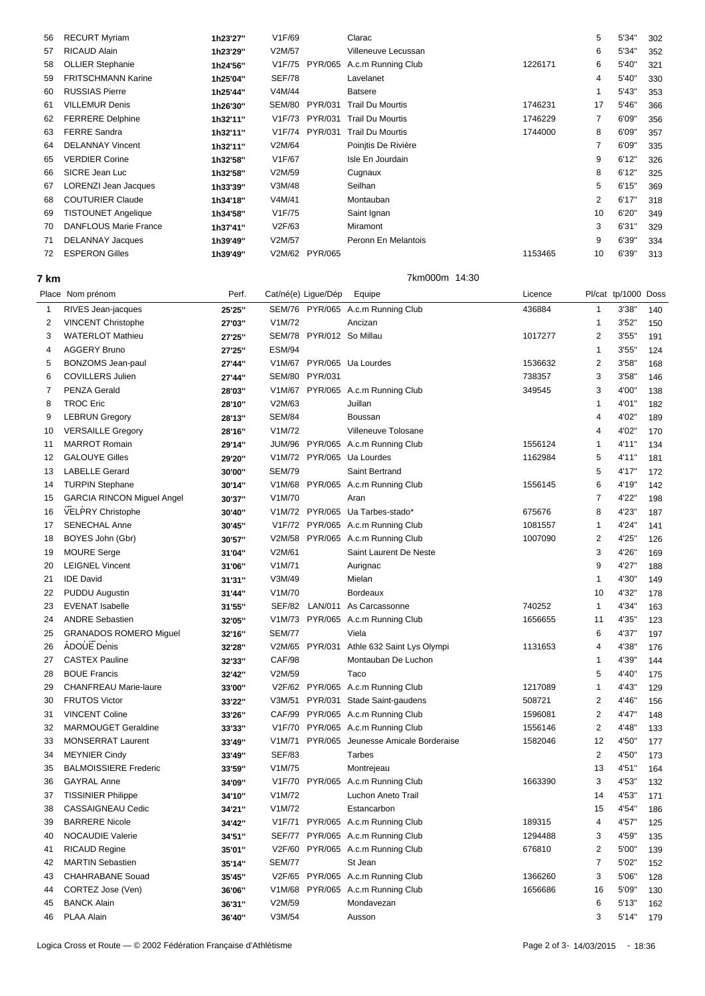| 56 | <b>RECURT Myriam</b>         | 1h23'27" | V1F/69        |                | Clarac                  |         | 5  | 5'34"  | 302 |
|----|------------------------------|----------|---------------|----------------|-------------------------|---------|----|--------|-----|
| 57 | <b>RICAUD Alain</b>          | 1h23'29" | V2M/57        |                | Villeneuve Lecussan     |         | 6  | 5'34"  | 352 |
| 58 | <b>OLLIER Stephanie</b>      | 1h24'56" |               | V1F/75 PYR/065 | A.c.m Running Club      | 1226171 | 6  | 5'40"  | 321 |
| 59 | <b>FRITSCHMANN Karine</b>    | 1h25'04" | <b>SEF/78</b> |                | Lavelanet               |         | 4  | 5'40"  | 330 |
| 60 | <b>RUSSIAS Pierre</b>        | 1h25'44" | V4M/44        |                | Batsere                 |         |    | 5'43"  | 353 |
| 61 | <b>VILLEMUR Denis</b>        | 1h26'30" |               | SEM/80 PYR/031 | <b>Trail Du Mourtis</b> | 1746231 | 17 | 5'46"  | 366 |
| 62 | <b>FERRERE Delphine</b>      | 1h32'11" | V1F/73        | PYR/031        | <b>Trail Du Mourtis</b> | 1746229 | 7  | 6'09"  | 356 |
| 63 | <b>FERRE Sandra</b>          | 1h32'11" | V1F/74        | PYR/031        | <b>Trail Du Mourtis</b> | 1744000 | 8  | 6'09"  | 357 |
| 64 | <b>DELANNAY Vincent</b>      | 1h32'11" | V2M/64        |                | Poinitis De Rivière     |         | 7  | 6'09"  | 335 |
| 65 | <b>VERDIER Corine</b>        | 1h32'58" | V1F/67        |                | Isle En Jourdain        |         | 9  | 6'12"  | 326 |
| 66 | SICRE Jean Luc               | 1h32'58" | V2M/59        |                | Cugnaux                 |         | 8  | 6'12"  | 325 |
| 67 | LORENZI Jean Jacques         | 1h33'39" | V3M/48        |                | Seilhan                 |         | 5  | 6'15'' | 369 |
| 68 | <b>COUTURIER Claude</b>      | 1h34'18" | V4M/41        |                | Montauban               |         | 2  | 6'17'' | 318 |
| 69 | <b>TISTOUNET Angelique</b>   | 1h34'58" | V1F/75        |                | Saint Ignan             |         | 10 | 6'20"  | 349 |
| 70 | <b>DANFLOUS Marie France</b> | 1h37'41" | V2F/63        |                | Miramont                |         | 3  | 6'31'' | 329 |
| 71 | <b>DELANNAY Jacques</b>      | 1h39'49" | V2M/57        |                | Peronn En Melantois     |         | 9  | 6'39"  | 334 |
| 72 | <b>ESPERON Gilles</b>        | 1h39'49" |               | V2M/62 PYR/065 |                         | 1153465 | 10 | 6'39"  | 313 |
|    |                              |          |               |                |                         |         |    |        |     |

**7 km** 7km000m 14:30

|                                   | Perf.                                                                                                                                                                                               |                  |                  | Equipe                                                                                                | Licence                                                                                                                                                                                                                                                                                                                                                                                                                                                                                                                                                                                                                                                                                                                                                                                                                               |                             |        |                                                                   |
|-----------------------------------|-----------------------------------------------------------------------------------------------------------------------------------------------------------------------------------------------------|------------------|------------------|-------------------------------------------------------------------------------------------------------|---------------------------------------------------------------------------------------------------------------------------------------------------------------------------------------------------------------------------------------------------------------------------------------------------------------------------------------------------------------------------------------------------------------------------------------------------------------------------------------------------------------------------------------------------------------------------------------------------------------------------------------------------------------------------------------------------------------------------------------------------------------------------------------------------------------------------------------|-----------------------------|--------|-------------------------------------------------------------------|
| RIVES Jean-jacques                | 25'25"                                                                                                                                                                                              |                  |                  |                                                                                                       | 436884                                                                                                                                                                                                                                                                                                                                                                                                                                                                                                                                                                                                                                                                                                                                                                                                                                | $\mathbf{1}$                | 3'38"  | 140                                                               |
| <b>VINCENT Christophe</b>         | 27'03"                                                                                                                                                                                              | V1M/72           |                  | Ancizan                                                                                               |                                                                                                                                                                                                                                                                                                                                                                                                                                                                                                                                                                                                                                                                                                                                                                                                                                       | -1                          | 3'52'' | 150                                                               |
| <b>WATERLOT Mathieu</b>           | 27'25"                                                                                                                                                                                              |                  |                  |                                                                                                       | 1017277                                                                                                                                                                                                                                                                                                                                                                                                                                                                                                                                                                                                                                                                                                                                                                                                                               | $\overline{\mathbf{c}}$     | 3'55'  | 191                                                               |
| <b>AGGERY Bruno</b>               | 27'25"                                                                                                                                                                                              | <b>ESM/94</b>    |                  |                                                                                                       |                                                                                                                                                                                                                                                                                                                                                                                                                                                                                                                                                                                                                                                                                                                                                                                                                                       | $\overline{1}$              | 3'55'  | 124                                                               |
| <b>BONZOMS</b> Jean-paul          | 27'44"                                                                                                                                                                                              |                  |                  |                                                                                                       | 1536632                                                                                                                                                                                                                                                                                                                                                                                                                                                                                                                                                                                                                                                                                                                                                                                                                               | 2                           | 3'58"  | 168                                                               |
| <b>COVILLERS Julien</b>           | 27'44"                                                                                                                                                                                              |                  |                  |                                                                                                       | 738357                                                                                                                                                                                                                                                                                                                                                                                                                                                                                                                                                                                                                                                                                                                                                                                                                                | 3                           | 3'58'  | 146                                                               |
| <b>PENZA Gerald</b>               | 28'03"                                                                                                                                                                                              |                  |                  |                                                                                                       | 349545                                                                                                                                                                                                                                                                                                                                                                                                                                                                                                                                                                                                                                                                                                                                                                                                                                | 3                           | 4'00"  | 138                                                               |
| <b>TROC Eric</b>                  | 28'10"                                                                                                                                                                                              | V2M/63           |                  | Juillan                                                                                               |                                                                                                                                                                                                                                                                                                                                                                                                                                                                                                                                                                                                                                                                                                                                                                                                                                       | 1                           | 4'01"  | 182                                                               |
| <b>LEBRUN Gregory</b>             | 28'13"                                                                                                                                                                                              | <b>SEM/84</b>    |                  | Boussan                                                                                               |                                                                                                                                                                                                                                                                                                                                                                                                                                                                                                                                                                                                                                                                                                                                                                                                                                       | 4                           | 4'02"  | 189                                                               |
| <b>VERSAILLE Gregory</b>          | 28'16"                                                                                                                                                                                              | V1M/72           |                  | Villeneuve Tolosane                                                                                   |                                                                                                                                                                                                                                                                                                                                                                                                                                                                                                                                                                                                                                                                                                                                                                                                                                       | 4                           | 4'02"  | 170                                                               |
| <b>MARROT Romain</b>              | 29'14"                                                                                                                                                                                              |                  |                  |                                                                                                       | 1556124                                                                                                                                                                                                                                                                                                                                                                                                                                                                                                                                                                                                                                                                                                                                                                                                                               | $\overline{1}$              | 4'11"  | 134                                                               |
| <b>GALOUYE Gilles</b>             | 29'20"                                                                                                                                                                                              |                  |                  |                                                                                                       | 1162984                                                                                                                                                                                                                                                                                                                                                                                                                                                                                                                                                                                                                                                                                                                                                                                                                               | 5                           | 4'11"  | 181                                                               |
| <b>LABELLE Gerard</b>             | 30'00"                                                                                                                                                                                              | <b>SEM/79</b>    |                  | Saint Bertrand                                                                                        |                                                                                                                                                                                                                                                                                                                                                                                                                                                                                                                                                                                                                                                                                                                                                                                                                                       | 5                           | 4'17"  | 172                                                               |
| <b>TURPIN Stephane</b>            | 30'14"                                                                                                                                                                                              |                  |                  |                                                                                                       | 1556145                                                                                                                                                                                                                                                                                                                                                                                                                                                                                                                                                                                                                                                                                                                                                                                                                               | 6                           | 4'19"  | 142                                                               |
| <b>GARCIA RINCON Miguel Angel</b> | 30'37"                                                                                                                                                                                              | V1M/70           |                  | Aran                                                                                                  |                                                                                                                                                                                                                                                                                                                                                                                                                                                                                                                                                                                                                                                                                                                                                                                                                                       | 7                           | 4'22"  | 198                                                               |
|                                   | 30'40"                                                                                                                                                                                              |                  |                  |                                                                                                       | 675676                                                                                                                                                                                                                                                                                                                                                                                                                                                                                                                                                                                                                                                                                                                                                                                                                                | 8                           | 4'23"  | 187                                                               |
| <b>SENECHAL Anne</b>              | 30'45"                                                                                                                                                                                              |                  |                  |                                                                                                       | 1081557                                                                                                                                                                                                                                                                                                                                                                                                                                                                                                                                                                                                                                                                                                                                                                                                                               | -1                          | 4'24"  | 141                                                               |
| BOYES John (Gbr)                  | 30'57"                                                                                                                                                                                              |                  |                  |                                                                                                       | 1007090                                                                                                                                                                                                                                                                                                                                                                                                                                                                                                                                                                                                                                                                                                                                                                                                                               | $\overline{\mathbf{c}}$     | 4'25"  | 126                                                               |
|                                   | 31'04"                                                                                                                                                                                              | V2M/61           |                  | Saint Laurent De Neste                                                                                |                                                                                                                                                                                                                                                                                                                                                                                                                                                                                                                                                                                                                                                                                                                                                                                                                                       | 3                           | 4'26"  | 169                                                               |
| <b>LEIGNEL Vincent</b>            | 31'06"                                                                                                                                                                                              | V1M/71           |                  | Aurignac                                                                                              |                                                                                                                                                                                                                                                                                                                                                                                                                                                                                                                                                                                                                                                                                                                                                                                                                                       | 9                           | 4'27"  | 188                                                               |
| <b>IDE David</b>                  | 31'31"                                                                                                                                                                                              | V3M/49           |                  | Mielan                                                                                                |                                                                                                                                                                                                                                                                                                                                                                                                                                                                                                                                                                                                                                                                                                                                                                                                                                       | $\overline{1}$              | 4'30"  | 149                                                               |
| <b>PUDDU Augustin</b>             | 31'44"                                                                                                                                                                                              | V1M/70           |                  | <b>Bordeaux</b>                                                                                       |                                                                                                                                                                                                                                                                                                                                                                                                                                                                                                                                                                                                                                                                                                                                                                                                                                       | 10                          | 4'32"  | 178                                                               |
| <b>EVENAT Isabelle</b>            | 31'55"                                                                                                                                                                                              |                  |                  |                                                                                                       | 740252                                                                                                                                                                                                                                                                                                                                                                                                                                                                                                                                                                                                                                                                                                                                                                                                                                | $\overline{1}$              | 4'34"  | 163                                                               |
| <b>ANDRE Sebastien</b>            | 32'05"                                                                                                                                                                                              |                  |                  |                                                                                                       | 1656655                                                                                                                                                                                                                                                                                                                                                                                                                                                                                                                                                                                                                                                                                                                                                                                                                               | 11                          | 4'35"  | 123                                                               |
| <b>GRANADOS ROMERO Miquel</b>     | 32'16"                                                                                                                                                                                              | <b>SEM/77</b>    |                  | Viela                                                                                                 |                                                                                                                                                                                                                                                                                                                                                                                                                                                                                                                                                                                                                                                                                                                                                                                                                                       | 6                           | 4'37'  | 197                                                               |
|                                   | 32'28"                                                                                                                                                                                              |                  |                  |                                                                                                       | 1131653                                                                                                                                                                                                                                                                                                                                                                                                                                                                                                                                                                                                                                                                                                                                                                                                                               | 4                           | 4'38"  | 176                                                               |
| <b>CASTEX Pauline</b>             | 32'33"                                                                                                                                                                                              | CAF/98           |                  | Montauban De Luchon                                                                                   |                                                                                                                                                                                                                                                                                                                                                                                                                                                                                                                                                                                                                                                                                                                                                                                                                                       | -1                          | 4'39"  | 144                                                               |
| <b>BOUE Francis</b>               | 32'42"                                                                                                                                                                                              | V2M/59           |                  | Taco                                                                                                  |                                                                                                                                                                                                                                                                                                                                                                                                                                                                                                                                                                                                                                                                                                                                                                                                                                       | 5                           | 4'40"  | 175                                                               |
|                                   | 33'00"                                                                                                                                                                                              |                  |                  |                                                                                                       | 1217089                                                                                                                                                                                                                                                                                                                                                                                                                                                                                                                                                                                                                                                                                                                                                                                                                               | $\overline{1}$              | 4'43"  | 129                                                               |
| <b>FRUTOS Victor</b>              | 33'22"                                                                                                                                                                                              |                  |                  |                                                                                                       | 508721                                                                                                                                                                                                                                                                                                                                                                                                                                                                                                                                                                                                                                                                                                                                                                                                                                | 2                           | 4'46"  | 156                                                               |
| <b>VINCENT Coline</b>             | 33'26"                                                                                                                                                                                              |                  |                  |                                                                                                       | 1596081                                                                                                                                                                                                                                                                                                                                                                                                                                                                                                                                                                                                                                                                                                                                                                                                                               | $\overline{2}$              | 4'47"  | 148                                                               |
| <b>MARMOUGET Geraldine</b>        | 33'33"                                                                                                                                                                                              | V1F/70           |                  |                                                                                                       | 1556146                                                                                                                                                                                                                                                                                                                                                                                                                                                                                                                                                                                                                                                                                                                                                                                                                               | 2                           | 4'48"  | 133                                                               |
| <b>MONSERRAT Laurent</b>          | 33'49"                                                                                                                                                                                              |                  |                  | Jeunesse Amicale Borderaise                                                                           | 1582046                                                                                                                                                                                                                                                                                                                                                                                                                                                                                                                                                                                                                                                                                                                                                                                                                               | 12                          | 4'50"  | 177                                                               |
| <b>MEYNIER Cindy</b>              | 33'49"                                                                                                                                                                                              | <b>SEF/83</b>    |                  | <b>Tarbes</b>                                                                                         |                                                                                                                                                                                                                                                                                                                                                                                                                                                                                                                                                                                                                                                                                                                                                                                                                                       | 2                           | 4'50"  | 173                                                               |
| <b>BALMOISSIERE Frederic</b>      | 33'59"                                                                                                                                                                                              | V1M/75           |                  | Montrejeau                                                                                            |                                                                                                                                                                                                                                                                                                                                                                                                                                                                                                                                                                                                                                                                                                                                                                                                                                       | 13                          | 4'51"  | 164                                                               |
| <b>GAYRAL Anne</b>                | 34'09"                                                                                                                                                                                              |                  |                  |                                                                                                       | 1663390                                                                                                                                                                                                                                                                                                                                                                                                                                                                                                                                                                                                                                                                                                                                                                                                                               | 3                           | 4'53"  | 132                                                               |
| <b>TISSINIER Philippe</b>         | 34'10"                                                                                                                                                                                              | V1M/72           |                  | Luchon Aneto Trail                                                                                    |                                                                                                                                                                                                                                                                                                                                                                                                                                                                                                                                                                                                                                                                                                                                                                                                                                       | 14                          | 4'53"  | 171                                                               |
| <b>CASSAIGNEAU Cedic</b>          | 34'21"                                                                                                                                                                                              | V1M/72           |                  | Estancarbon                                                                                           |                                                                                                                                                                                                                                                                                                                                                                                                                                                                                                                                                                                                                                                                                                                                                                                                                                       | 15                          | 4'54"  | 186                                                               |
|                                   |                                                                                                                                                                                                     |                  |                  |                                                                                                       |                                                                                                                                                                                                                                                                                                                                                                                                                                                                                                                                                                                                                                                                                                                                                                                                                                       | 4                           |        | 125                                                               |
| <b>NOCAUDIE Valerie</b>           | 34'51"                                                                                                                                                                                              |                  |                  |                                                                                                       | 1294488                                                                                                                                                                                                                                                                                                                                                                                                                                                                                                                                                                                                                                                                                                                                                                                                                               | 3                           | 4'59"  | 135                                                               |
| <b>RICAUD Regine</b>              | 35'01"                                                                                                                                                                                              |                  |                  |                                                                                                       |                                                                                                                                                                                                                                                                                                                                                                                                                                                                                                                                                                                                                                                                                                                                                                                                                                       | 2                           |        | 139                                                               |
| <b>MARTIN Sebastien</b>           | 35'14"                                                                                                                                                                                              | <b>SEM/77</b>    |                  | St Jean                                                                                               |                                                                                                                                                                                                                                                                                                                                                                                                                                                                                                                                                                                                                                                                                                                                                                                                                                       | 7                           | 5'02"  | 152                                                               |
| <b>CHAHRABANE Souad</b>           | 35'45"                                                                                                                                                                                              |                  |                  |                                                                                                       | 1366260                                                                                                                                                                                                                                                                                                                                                                                                                                                                                                                                                                                                                                                                                                                                                                                                                               | 3                           | 5'06"  | 128                                                               |
|                                   | 36'06"                                                                                                                                                                                              |                  |                  |                                                                                                       |                                                                                                                                                                                                                                                                                                                                                                                                                                                                                                                                                                                                                                                                                                                                                                                                                                       | 16                          |        | 130                                                               |
|                                   | 36'31"                                                                                                                                                                                              |                  |                  |                                                                                                       |                                                                                                                                                                                                                                                                                                                                                                                                                                                                                                                                                                                                                                                                                                                                                                                                                                       | 6                           |        | 162                                                               |
|                                   |                                                                                                                                                                                                     |                  |                  |                                                                                                       |                                                                                                                                                                                                                                                                                                                                                                                                                                                                                                                                                                                                                                                                                                                                                                                                                                       |                             |        | 179                                                               |
|                                   | Place Nom prénom<br><b>VELPRY Christophe</b><br><b>MOURE Serge</b><br>ADOUE Denis<br><b>CHANFREAU Marie-laure</b><br><b>BARRERE Nicole</b><br>CORTEZ Jose (Ven)<br><b>BANCK Alain</b><br>PLAA Alain | 34'42"<br>36'40" | V2M/59<br>V3M/54 | Cat/né(e) Ligue/Dép<br>SEM/80 PYR/031<br>SEF/82 LAN/011<br>V2M/65 PYR/031<br>V3M/51<br>V1M/71 PYR/065 | SEM/76 PYR/065 A.c.m Running Club<br>SEM/78 PYR/012 So Millau<br>V1M/67 PYR/065 Ua Lourdes<br>V1M/67 PYR/065 A.c.m Running Club<br>JUM/96 PYR/065 A.c.m Running Club<br>V1M/72 PYR/065 Ua Lourdes<br>V1M/68 PYR/065 A.c.m Running Club<br>V1M/72 PYR/065 Ua Tarbes-stado*<br>V1F/72 PYR/065 A.c.m Running Club<br>V2M/58 PYR/065 A.c.m Running Club<br>As Carcassonne<br>V1M/73 PYR/065 A.c.m Running Club<br>Athle 632 Saint Lys Olympi<br>V2F/62 PYR/065 A.c.m Running Club<br>PYR/031 Stade Saint-gaudens<br>CAF/99 PYR/065 A.c.m Running Club<br>PYR/065 A.c.m Running Club<br>V1F/70 PYR/065 A.c.m Running Club<br>V1F/71 PYR/065 A.c.m Running Club<br>SEF/77 PYR/065 A.c.m Running Club<br>V2F/60 PYR/065 A.c.m Running Club<br>V2F/65 PYR/065 A.c.m Running Club<br>V1M/68 PYR/065 A.c.m Running Club<br>Mondavezan<br>Ausson | 189315<br>676810<br>1656686 | 3      | Pl/cat tp/1000 Doss<br>4'57"<br>5'00"<br>5'09"<br>5'13''<br>5'14" |